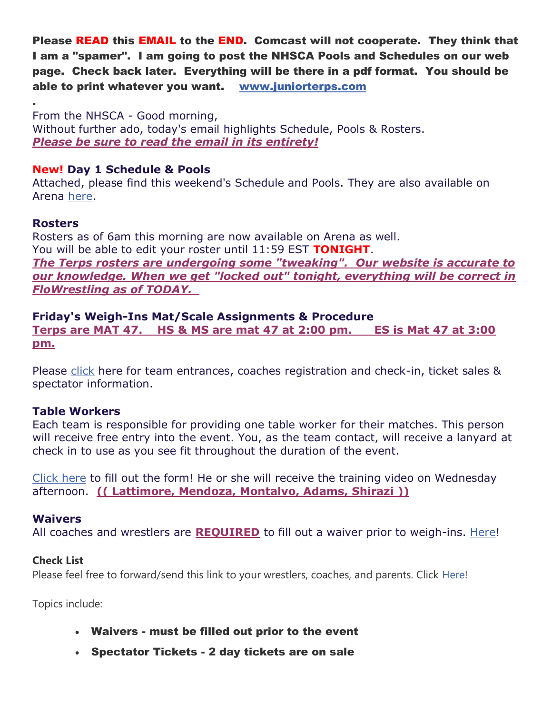Please READ this EMAIL to the END. Comcast will not cooperate. They think that I am a "spamer". I am going to post the NHSCA Pools and Schedules on our web page. Check back later. Everything will be there in a pdf format. You should be able to print whatever you want. [www.juniorterps.com](http://www.juniorterps.com/)

. From the NHSCA - Good morning, Without further ado, today's email highlights Schedule, Pools & Rosters. *Please be sure to read the email in its entirety!*

## **New! Day 1 Schedule & Pools**

Attached, please find this weekend's Schedule and Pools. They are also available on Arena [here.](https://arena.flowrestling.org/event/1fbb2aae-19bb-433b-ad34-ae370a48d3a9)

### **Rosters**

Rosters as of 6am this morning are now available on Arena as well. You will be able to edit your roster until 11:59 EST **TONIGHT**. *The Terps rosters are undergoing some "tweaking". Our website is accurate to our knowledge. When we get "locked out" tonight, everything will be correct in FloWrestling as of TODAY.* 

**Friday's Weigh-Ins Mat/Scale Assignments & Procedure Terps are MAT 47. HS & MS are mat 47 at 2:00 pm. ES is Mat 47 at 3:00 pm.**

Please [click](http://nhsca-events.com/2022-national-duals-friday-schedule/) here for team entrances, coaches registration and check-in, ticket sales & spectator information.

### **Table Workers**

Each team is responsible for providing one table worker for their matches. This person will receive free entry into the event. You, as the team contact, will receive a lanyard at check in to use as you see fit throughout the duration of the event.

[Click here](https://nhsca.com/2022-national-duals-team-table-worker-registration/) to fill out the form! He or she will receive the training video on Wednesday afternoon. **(( Lattimore, Mendoza, Montalvo, Adams, Shirazi ))**

### **Waivers**

All coaches and wrestlers are **REQUIRED** to fill out a waiver prior to weigh-ins. [Here!](https://www.waiverfile.com/b/NHSCA)

### **Check List**

Please feel free to forward/send this link to your wrestlers, coaches, and parents. Click [Here!](http://nhsca-events.com/2022-national-duals-checklist/)

Topics include:

- Waivers must be filled out prior to the event
- Spectator Tickets 2 day tickets are on sale